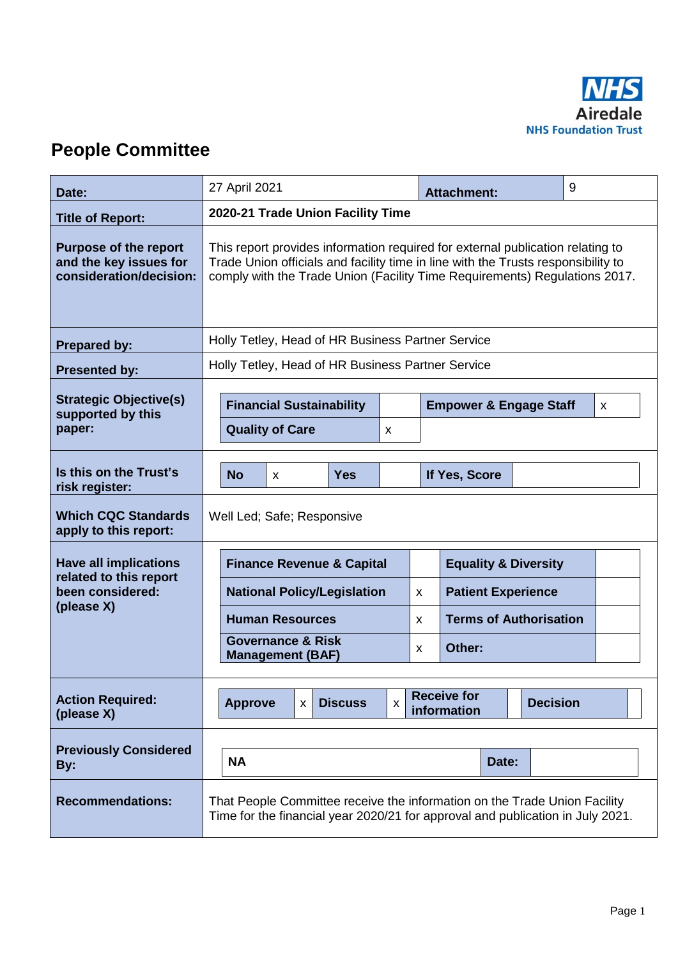

# **People Committee**

| Date:                                                                             | 27 April 2021                                                                                                                                                                                                                                     |                                                              |  |   |        | <b>Attachment:</b>                     |  |  | 9 |  |
|-----------------------------------------------------------------------------------|---------------------------------------------------------------------------------------------------------------------------------------------------------------------------------------------------------------------------------------------------|--------------------------------------------------------------|--|---|--------|----------------------------------------|--|--|---|--|
| <b>Title of Report:</b>                                                           | 2020-21 Trade Union Facility Time                                                                                                                                                                                                                 |                                                              |  |   |        |                                        |  |  |   |  |
| <b>Purpose of the report</b><br>and the key issues for<br>consideration/decision: | This report provides information required for external publication relating to<br>Trade Union officials and facility time in line with the Trusts responsibility to<br>comply with the Trade Union (Facility Time Requirements) Regulations 2017. |                                                              |  |   |        |                                        |  |  |   |  |
| <b>Prepared by:</b>                                                               | Holly Tetley, Head of HR Business Partner Service                                                                                                                                                                                                 |                                                              |  |   |        |                                        |  |  |   |  |
| <b>Presented by:</b>                                                              | Holly Tetley, Head of HR Business Partner Service                                                                                                                                                                                                 |                                                              |  |   |        |                                        |  |  |   |  |
| <b>Strategic Objective(s)</b><br>supported by this<br>paper:                      | <b>Financial Sustainability</b><br><b>Quality of Care</b>                                                                                                                                                                                         |                                                              |  | X |        | <b>Empower &amp; Engage Staff</b><br>X |  |  |   |  |
| Is this on the Trust's<br>risk register:                                          | <b>No</b>                                                                                                                                                                                                                                         | <b>Yes</b><br>If Yes, Score<br>X                             |  |   |        |                                        |  |  |   |  |
| <b>Which CQC Standards</b><br>apply to this report:                               | Well Led; Safe; Responsive                                                                                                                                                                                                                        |                                                              |  |   |        |                                        |  |  |   |  |
| <b>Have all implications</b>                                                      | <b>Finance Revenue &amp; Capital</b><br><b>Equality &amp; Diversity</b>                                                                                                                                                                           |                                                              |  |   |        |                                        |  |  |   |  |
| related to this report<br>been considered:                                        |                                                                                                                                                                                                                                                   | <b>National Policy/Legislation</b><br><b>Human Resources</b> |  |   | X      | <b>Patient Experience</b>              |  |  |   |  |
| (please X)                                                                        |                                                                                                                                                                                                                                                   |                                                              |  |   | X      | <b>Terms of Authorisation</b>          |  |  |   |  |
|                                                                                   | <b>Governance &amp; Risk</b><br><b>Management (BAF)</b>                                                                                                                                                                                           |                                                              |  | X | Other: |                                        |  |  |   |  |
| <b>Action Required:</b><br>(please X)                                             | <b>Receive for</b><br><b>Decision</b><br><b>Discuss</b><br><b>Approve</b><br>$\boldsymbol{\mathsf{x}}$<br>$\mathsf{x}$<br>information                                                                                                             |                                                              |  |   |        |                                        |  |  |   |  |
| <b>Previously Considered</b><br>By:                                               | <b>NA</b>                                                                                                                                                                                                                                         |                                                              |  |   |        | Date:                                  |  |  |   |  |
| <b>Recommendations:</b>                                                           | That People Committee receive the information on the Trade Union Facility<br>Time for the financial year 2020/21 for approval and publication in July 2021.                                                                                       |                                                              |  |   |        |                                        |  |  |   |  |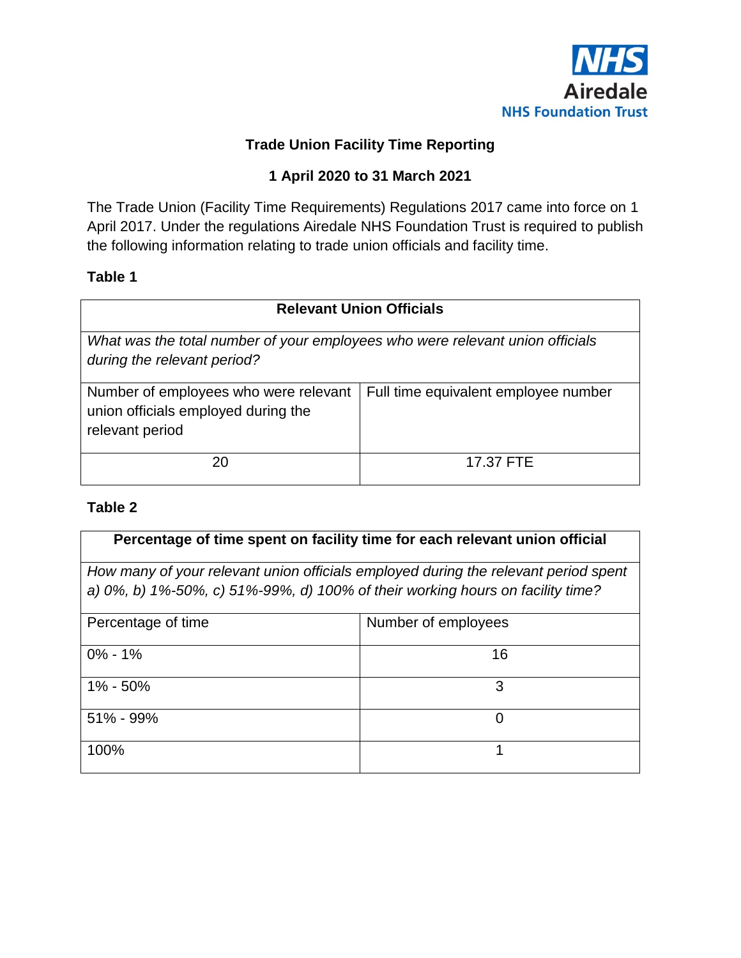

## **Trade Union Facility Time Reporting**

## **1 April 2020 to 31 March 2021**

The Trade Union (Facility Time Requirements) Regulations 2017 came into force on 1 April 2017. Under the regulations Airedale NHS Foundation Trust is required to publish the following information relating to trade union officials and facility time.

#### **Table 1**

| <b>Relevant Union Officials</b>                                                                              |                                      |  |  |  |  |  |
|--------------------------------------------------------------------------------------------------------------|--------------------------------------|--|--|--|--|--|
| What was the total number of your employees who were relevant union officials<br>during the relevant period? |                                      |  |  |  |  |  |
| Number of employees who were relevant<br>union officials employed during the<br>relevant period              | Full time equivalent employee number |  |  |  |  |  |
| 20                                                                                                           | 17.37 FTE                            |  |  |  |  |  |

#### **Table 2**

| Percentage of time spent on facility time for each relevant union official                                                                                            |                     |  |  |  |  |  |
|-----------------------------------------------------------------------------------------------------------------------------------------------------------------------|---------------------|--|--|--|--|--|
| How many of your relevant union officials employed during the relevant period spent<br>a) 0%, b) 1%-50%, c) 51%-99%, d) 100% of their working hours on facility time? |                     |  |  |  |  |  |
| Percentage of time                                                                                                                                                    | Number of employees |  |  |  |  |  |
| $0\% - 1\%$                                                                                                                                                           | 16                  |  |  |  |  |  |
| 1% - 50%                                                                                                                                                              | 3                   |  |  |  |  |  |
| $51\% - 99\%$                                                                                                                                                         | 0                   |  |  |  |  |  |
| 100%                                                                                                                                                                  | 1                   |  |  |  |  |  |